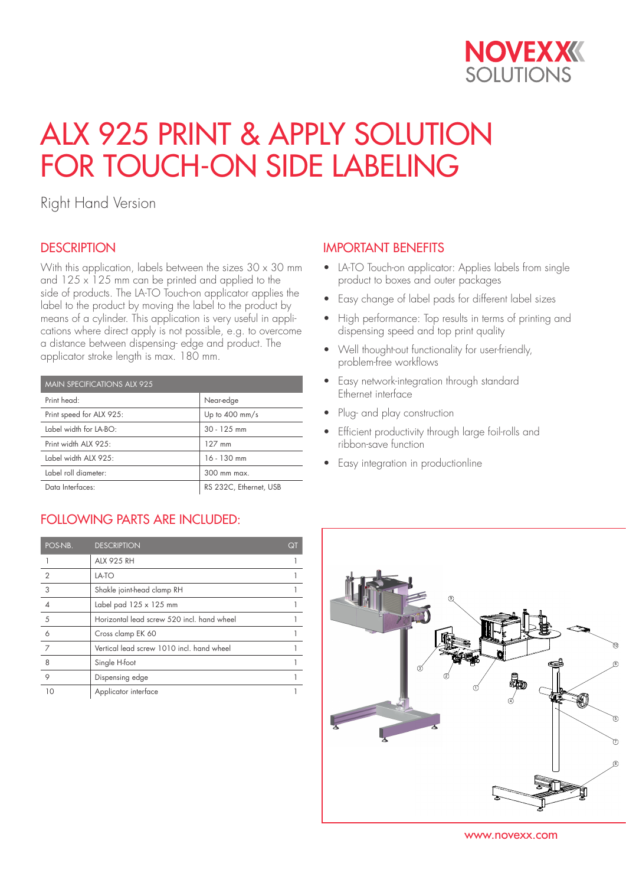

# ALX 925 PRINT & APPLY SOLUTION FOR TOUCH-ON SIDE LABELING

Right Hand Version

## **DESCRIPTION**

With this application, labels between the sizes  $30 \times 30$  mm and  $125 \times 125$  mm can be printed and applied to the side of products. The LA-TO Touch-on applicator applies the label to the product by moving the label to the product by means of a cylinder. This application is very useful in applications where direct apply is not possible, e.g. to overcome a distance between dispensing- edge and product. The applicator stroke length is max. 180 mm.

| <b>MAIN SPECIFICATIONS ALX 925</b> |                          |  |
|------------------------------------|--------------------------|--|
| Print head:                        | Near-edge                |  |
| Print speed for ALX 925:           | Up to $400 \text{ mm/s}$ |  |
| Label width for LA-BO:             | $30 - 125$ mm            |  |
| Print width ALX 925:               | 127 mm                   |  |
| Label width ALX 925:               | $16 - 130$ mm            |  |
| Label roll diameter:               | 300 mm max.              |  |
| Data Interfaces:                   | RS 232C, Ethernet, USB   |  |

# FOLLOWING PARTS ARE INCLUDED:

| POS-NB.        | <b>DESCRIPTION</b>                         | QT |
|----------------|--------------------------------------------|----|
|                | <b>ALX 925 RH</b>                          |    |
| $\overline{2}$ | LA-TO                                      |    |
| 3              | Shakle joint-head clamp RH                 |    |
|                | Label pad $125 \times 125$ mm              |    |
| 5              | Horizontal lead screw 520 incl. hand wheel |    |
| 6              | Cross clamp EK 60                          |    |
| 7              | Vertical lead screw 1010 incl. hand wheel  |    |
| 8              | Single H-foot                              |    |
| 9              | Dispensing edge                            |    |
| 10             | Applicator interface                       |    |

## IMPORTANT BENEFITS

- LA-TO Touch-on applicator: Applies labels from single product to boxes and outer packages
- Easy change of label pads for different label sizes
- High performance: Top results in terms of printing and dispensing speed and top print quality
- Well thought-out functionality for user-friendly, problem-free workflows
- Easy network-integration through standard Ethernet interface
- Plug- and play construction
- Efficient productivity through large foil-rolls and ribbon-save function
- Easy integration in productionline



www.novexx.com